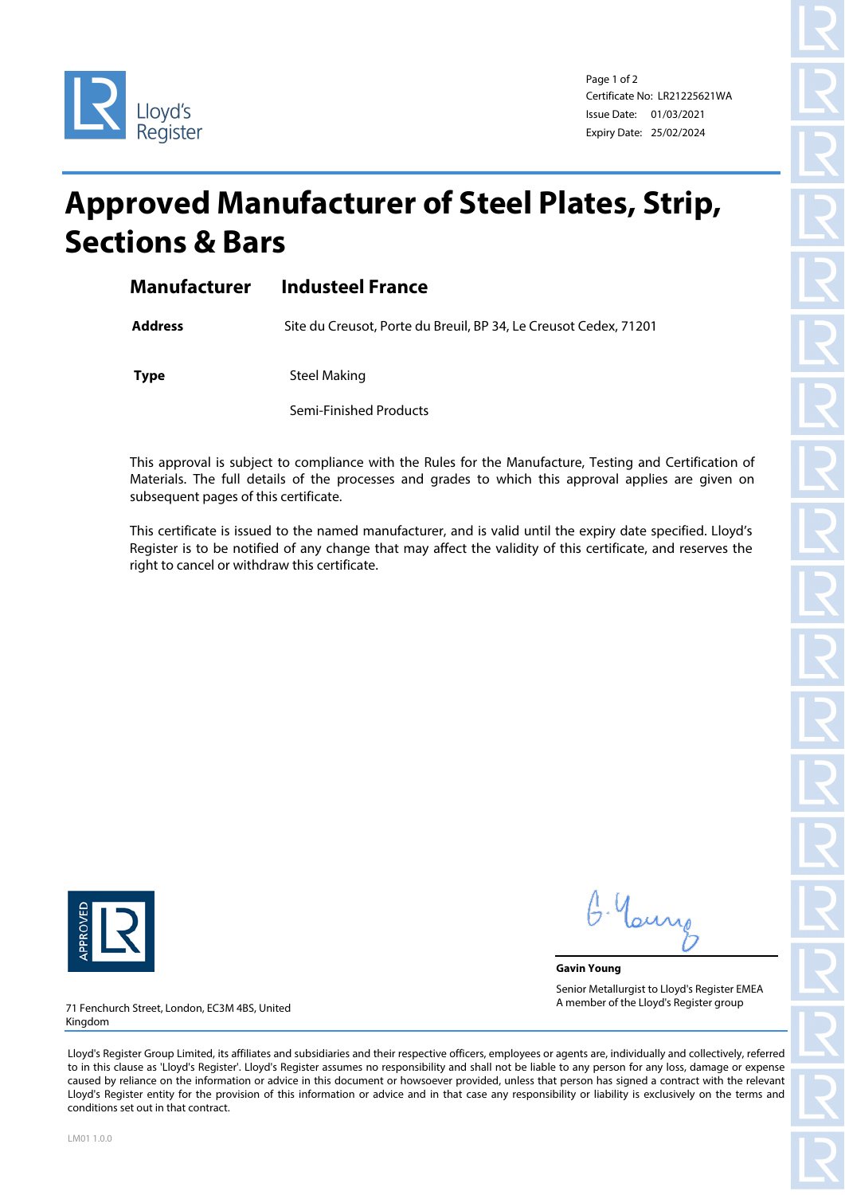

Page 1 of 2 Certificate No: LR21225621WA Issue Date: 01/03/2021 Expiry Date: 25/02/2024

## **Approved Manufacturer of Steel Plates, Strip, Sections & Bars**

| Manufacturer | <b>Industeel France</b> |
|--------------|-------------------------|
|              |                         |

**Address** Site du Creusot, Porte du Breuil, BP 34, Le Creusot Cedex, 71201

**Type** Steel Making

Semi-Finished Products

This approval is subject to compliance with the Rules for the Manufacture, Testing and Certification of Materials. The full details of the processes and grades to which this approval applies are given on subsequent pages of this certificate.

This certificate is issued to the named manufacturer, and is valid until the expiry date specified. Lloyd's Register is to be notified of any change that may affect the validity of this certificate, and reserves the right to cancel or withdraw this certificate.



G. Yan

**Gavin Young** Senior Metallurgist to Lloyd's Register EMEA A member of the Lloyd's Register group

71 Fenchurch Street, London, EC3M 4BS, United Kingdom

Lloyd's Register Group Limited, its affiliates and subsidiaries and their respective officers, employees or agents are, individually and collectively, referred to in this clause as 'Lloyd's Register'. Lloyd's Register assumes no responsibility and shall not be liable to any person for any loss, damage or expense caused by reliance on the information or advice in this document or howsoever provided, unless that person has signed a contract with the relevant Lloyd's Register entity for the provision of this information or advice and in that case any responsibility or liability is exclusively on the terms and conditions set out in that contract.